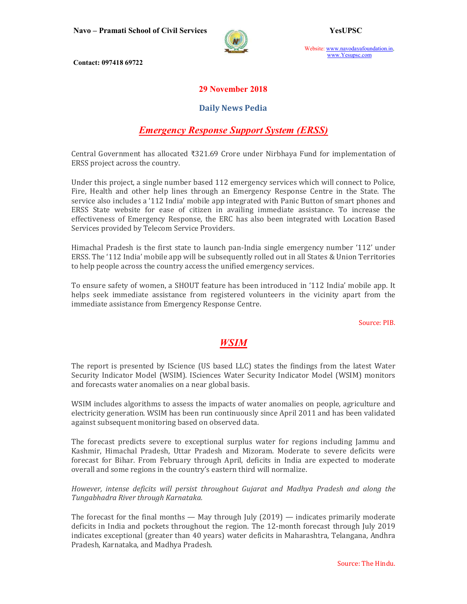

Website: www.navodayafoundation.in, www.Yesupsc.com

Contact: 097418 69722

## 29 November 2018

## Daily News Pedia

# Emergency Response Support System (ERSS)

Central Government has allocated ₹321.69 Crore under Nirbhaya Fund for implementation of ERSS project across the country.

Under this project, a single number based 112 emergency services which will connect to Police, Fire, Health and other help lines through an Emergency Response Centre in the State. The service also includes a '112 India' mobile app integrated with Panic Button of smart phones and ERSS State website for ease of citizen in availing immediate assistance. To increase the effectiveness of Emergency Response, the ERC has also been integrated with Location Based Services provided by Telecom Service Providers.

Himachal Pradesh is the first state to launch pan-India single emergency number '112' under ERSS. The '112 India' mobile app will be subsequently rolled out in all States & Union Territories to help people across the country access the unified emergency services.

To ensure safety of women, a SHOUT feature has been introduced in '112 India' mobile app. It helps seek immediate assistance from registered volunteers in the vicinity apart from the immediate assistance from Emergency Response Centre.

Source: PIB.

# WSIM **WEIN**

The report is presented by IScience (US based LLC) states the findings from the latest Water Security Indicator Model (WSIM). ISciences Water Security Indicator Model (WSIM) monitors and forecasts water anomalies on a near global basis.

WSIM includes algorithms to assess the impacts of water anomalies on people, agriculture and electricity generation. WSIM has been run continuously since April 2011 and has been validated against subsequent monitoring based on observed data.

The forecast predicts severe to exceptional surplus water for regions including Jammu and Kashmir, Himachal Pradesh, Uttar Pradesh and Mizoram. Moderate to severe deficits were forecast for Bihar. From February through April, deficits in India are expected to moderate overall and some regions in the country's eastern third will normalize.

However, intense deficits will persist throughout Gujarat and Madhya Pradesh and along the Tungabhadra River through Karnataka.

The forecast for the final months  $-$  May through July (2019)  $-$  indicates primarily moderate deficits in India and pockets throughout the region. The 12-month forecast through July 2019 indicates exceptional (greater than 40 years) water deficits in Maharashtra, Telangana, Andhra Pradesh, Karnataka, and Madhya Pradesh.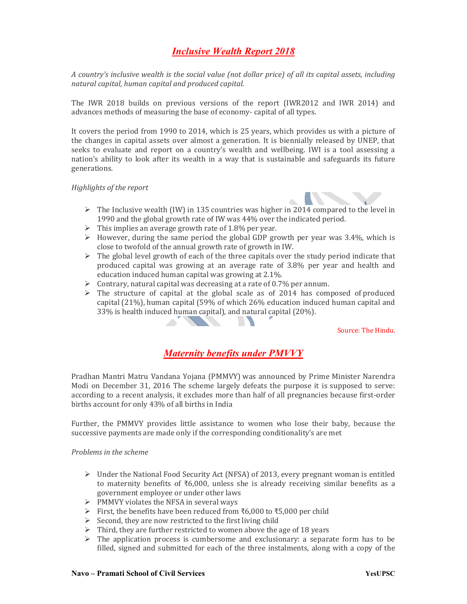# Inclusive Wealth Report 2018

A country's inclusive wealth is the social value (not dollar price) of all its capital assets, including natural capital, human capital and produced capital.

The IWR 2018 builds on previous versions of the report (IWR2012 and IWR 2014) and advances methods of measuring the base of economy- capital of all types.

It covers the period from 1990 to 2014, which is 25 years, which provides us with a picture of the changes in capital assets over almost a generation. It is biennially released by UNEP, that seeks to evaluate and report on a country's wealth and wellbeing. IWI is a tool assessing a nation's ability to look after its wealth in a way that is sustainable and safeguards its future generations.

Highlights of the report



- $\triangleright$  The Inclusive wealth (IW) in 135 countries was higher in 2014 compared to the level in 1990 and the global growth rate of IW was 44% over the indicated period.
- $\triangleright$  This implies an average growth rate of 1.8% per year.
- $\triangleright$  However, during the same period the global GDP growth per year was 3.4%, which is close to twofold of the annual growth rate of growth in IW.
- $\triangleright$  The global level growth of each of the three capitals over the study period indicate that produced capital was growing at an average rate of 3.8% per year and health and education induced human capital was growing at 2.1%.
- $\triangleright$  Contrary, natural capital was decreasing at a rate of 0.7% per annum.
- $\triangleright$  The structure of capital at the global scale as of 2014 has composed of produced capital (21%), human capital (59% of which 26% education induced human capital and 33% is health induced human capital), and natural capital (20%).

Source: The Hindu.

## Maternity benefits under PMVVY

Pradhan Mantri Matru Vandana Yojana (PMMVY) was announced by Prime Minister Narendra Modi on December 31, 2016 The scheme largely defeats the purpose it is supposed to serve: according to a recent analysis, it excludes more than half of all pregnancies because first-order births account for only 43% of all births in India

Further, the PMMVY provides little assistance to women who lose their baby, because the successive payments are made only if the corresponding conditionality's are met

#### Problems in the scheme

- $\triangleright$  Under the National Food Security Act (NFSA) of 2013, every pregnant woman is entitled to maternity benefits of ₹6,000, unless she is already receiving similar benefits as a government employee or under other laws
- $\triangleright$  PMMVY violates the NFSA in several ways
- First, the benefits have been reduced from ₹6,000 to ₹5,000 per child
- $\triangleright$  Second, they are now restricted to the first living child
- $\triangleright$  Third, they are further restricted to women above the age of 18 years
- $\triangleright$  The application process is cumbersome and exclusionary: a separate form has to be filled, signed and submitted for each of the three instalments, along with a copy of the

#### Navo – Pramati School of Civil Services Navo – Wesuppedia Navo – YesuPSC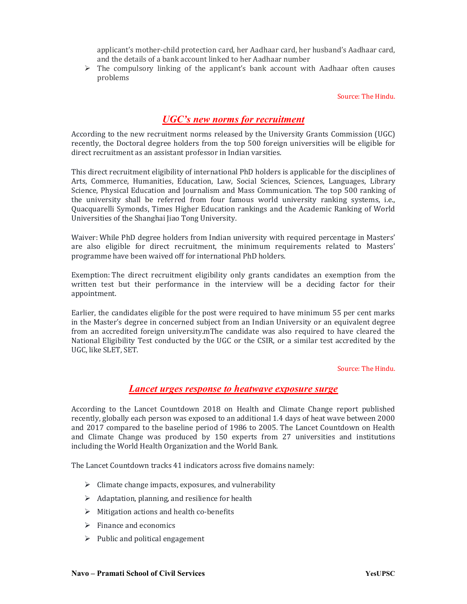applicant's mother-child protection card, her Aadhaar card, her husband's Aadhaar card, and the details of a bank account linked to her Aadhaar number

 $\triangleright$  The compulsory linking of the applicant's bank account with Aadhaar often causes problems

Source: The Hindu.

## UGC's new norms for recruitment

According to the new recruitment norms released by the University Grants Commission (UGC) recently, the Doctoral degree holders from the top 500 foreign universities will be eligible for direct recruitment as an assistant professor in Indian varsities.

This direct recruitment eligibility of international PhD holders is applicable for the disciplines of Arts, Commerce, Humanities, Education, Law, Social Sciences, Sciences, Languages, Library Science, Physical Education and Journalism and Mass Communication. The top 500 ranking of the university shall be referred from four famous world university ranking systems, i.e., Quacquarelli Symonds, Times Higher Education rankings and the Academic Ranking of World Universities of the Shanghai Jiao Tong University.

Waiver: While PhD degree holders from Indian university with required percentage in Masters' are also eligible for direct recruitment, the minimum requirements related to Masters' programme have been waived off for international PhD holders.

Exemption: The direct recruitment eligibility only grants candidates an exemption from the written test but their performance in the interview will be a deciding factor for their appointment.

Earlier, the candidates eligible for the post were required to have minimum 55 per cent marks in the Master's degree in concerned subject from an Indian University or an equivalent degree from an accredited foreign university.mThe candidate was also required to have cleared the National Eligibility Test conducted by the UGC or the CSIR, or a similar test accredited by the UGC, like SLET, SET.

#### Source: The Hindu.

### Lancet urges response to heatwave exposure surge

According to the Lancet Countdown 2018 on Health and Climate Change report published recently, globally each person was exposed to an additional 1.4 days of heat wave between 2000 and 2017 compared to the baseline period of 1986 to 2005. The Lancet Countdown on Health and Climate Change was produced by 150 experts from 27 universities and institutions including the World Health Organization and the World Bank.

The Lancet Countdown tracks 41 indicators across five domains namely:

- $\triangleright$  Climate change impacts, exposures, and vulnerability
- $\triangleright$  Adaptation, planning, and resilience for health
- $\triangleright$  Mitigation actions and health co-benefits
- $\triangleright$  Finance and economics
- $\triangleright$  Public and political engagement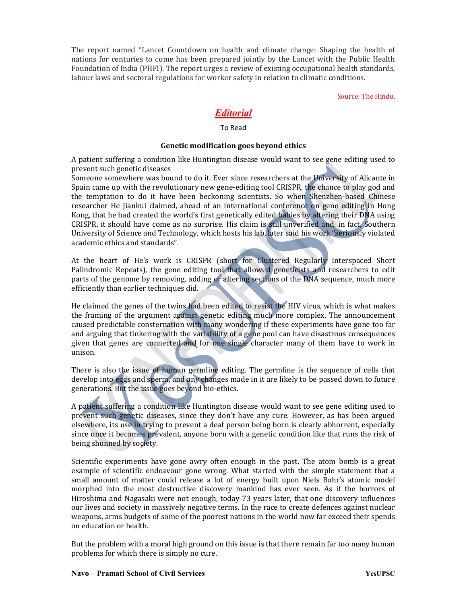The report named "Lancet Countdown on health and climate change: Shaping the health of nations for centuries to come has been prepared jointly by the Lancet with the Public Health Foundation of India (PHFI). The report urges a review of existing occupational health standards, labour laws and sectoral regulations for worker safety in relation to climatic conditions.

Source: The Hindu.

# Editorial

#### To Read

### Genetic modification goes beyond ethics

A patient suffering a condition like Huntington disease would want to see gene editing used to prevent such genetic diseases

Someone somewhere was bound to do it. Ever since researchers at the University of Alicante in Spain came up with the revolutionary new gene-editing tool CRISPR, the chance to play god and the temptation to do it have been beckoning scientists. So when Shenzhen-based Chinese researcher He Jiankui claimed, ahead of an international conference on gene editing in Hong Kong, that he had created the world's first genetically edited babies by altering their DNA using CRISPR, it should have come as no surprise. His claim is still unverified and, in fact, Southern University of Science and Technology, which hosts his lab, later said his work "seriously violated academic ethics and standards".

At the heart of He's work is CRISPR (short for Clustered Regularly Interspaced Short Palindromic Repeats), the gene editing tool that allowed geneticists and researchers to edit parts of the genome by removing, adding or altering sections of the DNA sequence, much more efficiently than earlier techniques did.

He claimed the genes of the twins had been edited to resist the HIV virus, which is what makes the framing of the argument against genetic editing much more complex. The announcement caused predictable consternation with many wondering if these experiments have gone too far and arguing that tinkering with the variability of a gene pool can have disastrous consequences given that genes are connected and for one single character many of them have to work in unison.

There is also the issue of human germline editing. The germline is the sequence of cells that develop into eggs and sperm, and any changes made in it are likely to be passed down to future generations. But the issue goes beyond bio-ethics.

A patient suffering a condition like Huntington disease would want to see gene editing used to prevent such genetic diseases, since they don't have any cure. However, as has been argued elsewhere, its use in trying to prevent a deaf person being born is clearly abhorrent, especially since once it becomes prevalent, anyone born with a genetic condition like that runs the risk of being shunned by society.

Scientific experiments have gone awry often enough in the past. The atom bomb is a great example of scientific endeavour gone wrong. What started with the simple statement that a small amount of matter could release a lot of energy built upon Niels Bohr's atomic model morphed into the most destructive discovery mankind has ever seen. As if the horrors of Hiroshima and Nagasaki were not enough, today 73 years later, that one discovery influences our lives and society in massively negative terms. In the race to create defences against nuclear weapons, arms budgets of some of the poorest nations in the world now far exceed their spends on education or health.

But the problem with a moral high ground on this issue is that there remain far too many human problems for which there is simply no cure.